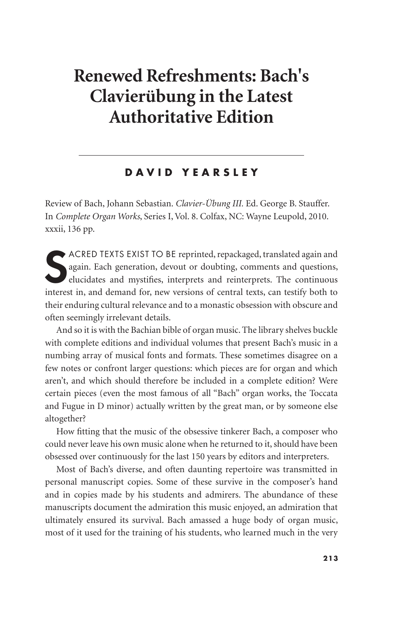## **Renewed Refreshments: Bach's Clavierübung in the Latest Authoritative Edition**

## **DAVID YEARSLEY**

Review of Bach, Johann Sebastian. *Clavier-Übung III.* Ed. George B. Stauffer. In *Complete Organ Works*, Series I, Vol. 8. Colfax, NC: Wayne Leupold, 2010. xxxii, 136 pp.

SACRED TEXTS EXIST TO BE reprinted, repackaged, translated again and again. Each generation, devout or doubting, comments and questions, elucidates and mystifies, interprets and reinterprets. The continuous interest in, an ACRED TEXTS EXIST TO BE reprinted, repackaged, translated again and again. Each generation, devout or doubting, comments and questions, elucidates and mystifies, interprets and reinterprets. The continuous their enduring cultural relevance and to a monastic obsession with obscure and often seemingly irrelevant details.

And so it is with the Bachian bible of organ music. The library shelves buckle with complete editions and individual volumes that present Bach's music in a numbing array of musical fonts and formats. These sometimes disagree on a few notes or confront larger questions: which pieces are for organ and which aren't, and which should therefore be included in a complete edition? Were certain pieces (even the most famous of all "Bach" organ works, the Toccata and Fugue in D minor) actually written by the great man, or by someone else altogether?

How fitting that the music of the obsessive tinkerer Bach, a composer who could never leave his own music alone when he returned to it, should have been obsessed over continuously for the last 150 years by editors and interpreters.

Most of Bach's diverse, and often daunting repertoire was transmitted in personal manuscript copies. Some of these survive in the composer's hand and in copies made by his students and admirers. The abundance of these manuscripts document the admiration this music enjoyed, an admiration that ultimately ensured its survival. Bach amassed a huge body of organ music, most of it used for the training of his students, who learned much in the very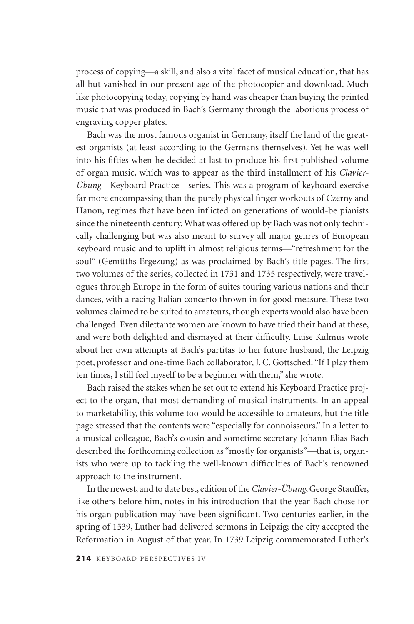process of copying—a skill, and also a vital facet of musical education, that has all but vanished in our present age of the photocopier and download. Much like photocopying today, copying by hand was cheaper than buying the printed music that was produced in Bach's Germany through the laborious process of engraving copper plates.

Bach was the most famous organist in Germany, itself the land of the greatest organists (at least according to the Germans themselves). Yet he was well into his fifties when he decided at last to produce his first published volume of organ music, which was to appear as the third installment of his *Clavier-Übung*—Keyboard Practice—series. This was a program of keyboard exercise far more encompassing than the purely physical finger workouts of Czerny and Hanon, regimes that have been inflicted on generations of would-be pianists since the nineteenth century. What was offered up by Bach was not only technically challenging but was also meant to survey all major genres of European keyboard music and to uplift in almost religious terms—"refreshment for the soul" (Gemüths Ergezung) as was proclaimed by Bach's title pages. The first two volumes of the series, collected in 1731 and 1735 respectively, were travelogues through Europe in the form of suites touring various nations and their dances, with a racing Italian concerto thrown in for good measure. These two volumes claimed to be suited to amateurs, though experts would also have been challenged. Even dilettante women are known to have tried their hand at these, and were both delighted and dismayed at their difficulty. Luise Kulmus wrote about her own attempts at Bach's partitas to her future husband, the Leipzig poet, professor and one-time Bach collaborator, J. C. Gottsched: "If I play them ten times, I still feel myself to be a beginner with them," she wrote.

Bach raised the stakes when he set out to extend his Keyboard Practice project to the organ, that most demanding of musical instruments. In an appeal to marketability, this volume too would be accessible to amateurs, but the title page stressed that the contents were "especially for connoisseurs." In a letter to a musical colleague, Bach's cousin and sometime secretary Johann Elias Bach described the forthcoming collection as "mostly for organists"—that is, organists who were up to tackling the well-known difficulties of Bach's renowned approach to the instrument.

In the newest, and to date best, edition of the *Clavier-Übung*, George Stauffer, like others before him, notes in his introduction that the year Bach chose for his organ publication may have been significant. Two centuries earlier, in the spring of 1539, Luther had delivered sermons in Leipzig; the city accepted the Reformation in August of that year. In 1739 Leipzig commemorated Luther's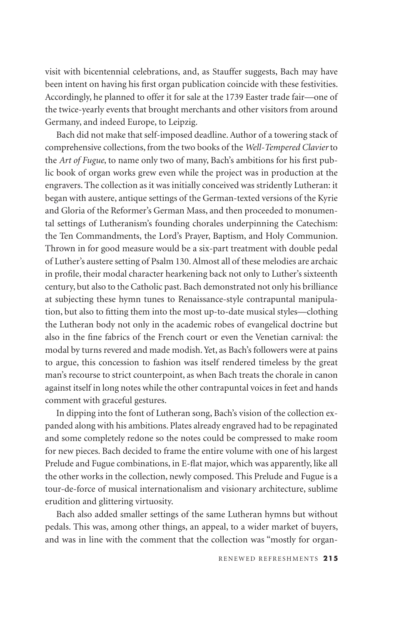visit with bicentennial celebrations, and, as Stauffer suggests, Bach may have been intent on having his first organ publication coincide with these festivities. Accordingly, he planned to offer it for sale at the 1739 Easter trade fair—one of the twice-yearly events that brought merchants and other visitors from around Germany, and indeed Europe, to Leipzig.

Bach did not make that self-imposed deadline. Author of a towering stack of comprehensive collections, from the two books of the *Well-Tempered Clavier* to the *Art of Fugue*, to name only two of many, Bach's ambitions for his first public book of organ works grew even while the project was in production at the engravers. The collection as it was initially conceived was stridently Lutheran: it began with austere, antique settings of the German-texted versions of the Kyrie and Gloria of the Reformer's German Mass, and then proceeded to monumental settings of Lutheranism's founding chorales underpinning the Catechism: the Ten Commandments, the Lord's Prayer, Baptism, and Holy Communion. Thrown in for good measure would be a six-part treatment with double pedal of Luther's austere setting of Psalm 130. Almost all of these melodies are archaic in profile, their modal character hearkening back not only to Luther's sixteenth century, but also to the Catholic past. Bach demonstrated not only his brilliance at subjecting these hymn tunes to Renaissance-style contrapuntal manipulation, but also to fitting them into the most up-to-date musical styles—clothing the Lutheran body not only in the academic robes of evangelical doctrine but also in the fine fabrics of the French court or even the Venetian carnival: the modal by turns revered and made modish. Yet, as Bach's followers were at pains to argue, this concession to fashion was itself rendered timeless by the great man's recourse to strict counterpoint, as when Bach treats the chorale in canon against itself in long notes while the other contrapuntal voices in feet and hands comment with graceful gestures.

In dipping into the font of Lutheran song, Bach's vision of the collection expanded along with his ambitions. Plates already engraved had to be repaginated and some completely redone so the notes could be compressed to make room for new pieces. Bach decided to frame the entire volume with one of his largest Prelude and Fugue combinations, in E-flat major, which was apparently, like all the other works in the collection, newly composed. This Prelude and Fugue is a tour-de-force of musical internationalism and visionary architecture, sublime erudition and glittering virtuosity.

Bach also added smaller settings of the same Lutheran hymns but without pedals. This was, among other things, an appeal, to a wider market of buyers, and was in line with the comment that the collection was "mostly for organ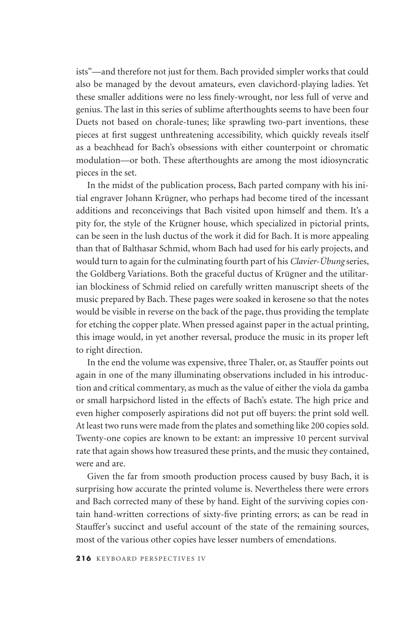ists"—and therefore not just for them. Bach provided simpler works that could also be managed by the devout amateurs, even clavichord-playing ladies. Yet these smaller additions were no less finely-wrought, nor less full of verve and genius. The last in this series of sublime afterthoughts seems to have been four Duets not based on chorale-tunes; like sprawling two-part inventions, these pieces at first suggest unthreatening accessibility, which quickly reveals itself as a beachhead for Bach's obsessions with either counterpoint or chromatic modulation—or both. These afterthoughts are among the most idiosyncratic pieces in the set.

In the midst of the publication process, Bach parted company with his initial engraver Johann Krügner, who perhaps had become tired of the incessant additions and reconceivings that Bach visited upon himself and them. It's a pity for, the style of the Krügner house, which specialized in pictorial prints, can be seen in the lush ductus of the work it did for Bach. It is more appealing than that of Balthasar Schmid, whom Bach had used for his early projects, and would turn to again for the culminating fourth part of his *Clavier-Übung* series, the Goldberg Variations. Both the graceful ductus of Krügner and the utilitarian blockiness of Schmid relied on carefully written manuscript sheets of the music prepared by Bach. These pages were soaked in kerosene so that the notes would be visible in reverse on the back of the page, thus providing the template for etching the copper plate. When pressed against paper in the actual printing, this image would, in yet another reversal, produce the music in its proper left to right direction.

In the end the volume was expensive, three Thaler, or, as Stauffer points out again in one of the many illuminating observations included in his introduction and critical commentary, as much as the value of either the viola da gamba or small harpsichord listed in the effects of Bach's estate. The high price and even higher composerly aspirations did not put off buyers: the print sold well. At least two runs were made from the plates and something like 200 copies sold. Twenty-one copies are known to be extant: an impressive 10 percent survival rate that again shows how treasured these prints, and the music they contained, were and are.

Given the far from smooth production process caused by busy Bach, it is surprising how accurate the printed volume is. Nevertheless there were errors and Bach corrected many of these by hand. Eight of the surviving copies contain hand-written corrections of sixty-five printing errors; as can be read in Stauffer's succinct and useful account of the state of the remaining sources, most of the various other copies have lesser numbers of emendations.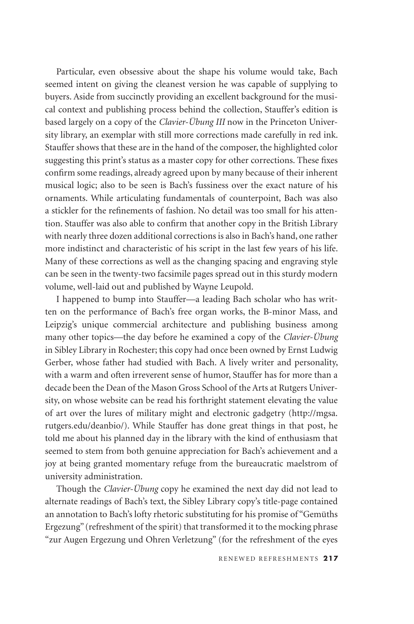Particular, even obsessive about the shape his volume would take, Bach seemed intent on giving the cleanest version he was capable of supplying to buyers. Aside from succinctly providing an excellent background for the musical context and publishing process behind the collection, Stauffer's edition is based largely on a copy of the *Clavier-Übung III* now in the Princeton University library, an exemplar with still more corrections made carefully in red ink. Stauffer shows that these are in the hand of the composer, the highlighted color suggesting this print's status as a master copy for other corrections. These fixes confirm some readings, already agreed upon by many because of their inherent musical logic; also to be seen is Bach's fussiness over the exact nature of his ornaments. While articulating fundamentals of counterpoint, Bach was also a stickler for the refinements of fashion. No detail was too small for his attention. Stauffer was also able to confirm that another copy in the British Library with nearly three dozen additional corrections is also in Bach's hand, one rather more indistinct and characteristic of his script in the last few years of his life. Many of these corrections as well as the changing spacing and engraving style can be seen in the twenty-two facsimile pages spread out in this sturdy modern volume, well-laid out and published by Wayne Leupold.

I happened to bump into Stauffer—a leading Bach scholar who has written on the performance of Bach's free organ works, the B-minor Mass, and Leipzig's unique commercial architecture and publishing business among many other topics—the day before he examined a copy of the *Clavier-Übung*  in Sibley Library in Rochester; this copy had once been owned by Ernst Ludwig Gerber, whose father had studied with Bach. A lively writer and personality, with a warm and often irreverent sense of humor, Stauffer has for more than a decade been the Dean of the Mason Gross School of the Arts at Rutgers University, on whose website can be read his forthright statement elevating the value of art over the lures of military might and electronic gadgetry (http://mgsa. rutgers.edu/deanbio/). While Stauffer has done great things in that post, he told me about his planned day in the library with the kind of enthusiasm that seemed to stem from both genuine appreciation for Bach's achievement and a joy at being granted momentary refuge from the bureaucratic maelstrom of university administration.

Though the *Clavier-Übung* copy he examined the next day did not lead to alternate readings of Bach's text, the Sibley Library copy's title-page contained an annotation to Bach's lofty rhetoric substituting for his promise of "Gemüths Ergezung" (refreshment of the spirit) that transformed it to the mocking phrase "zur Augen Ergezung und Ohren Verletzung" (for the refreshment of the eyes